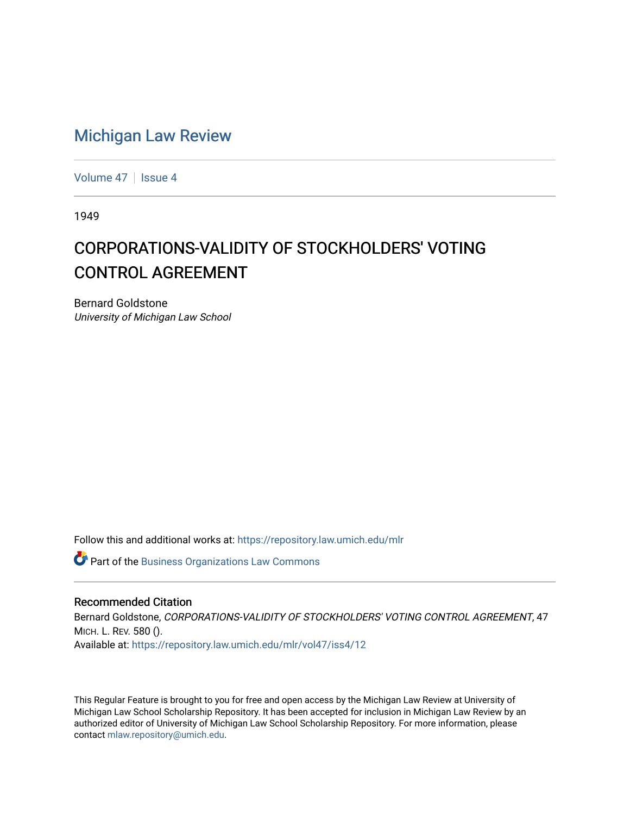## [Michigan Law Review](https://repository.law.umich.edu/mlr)

[Volume 47](https://repository.law.umich.edu/mlr/vol47) | [Issue 4](https://repository.law.umich.edu/mlr/vol47/iss4)

1949

## CORPORATIONS-VALIDITY OF STOCKHOLDERS' VOTING CONTROL AGREEMENT

Bernard Goldstone University of Michigan Law School

Follow this and additional works at: [https://repository.law.umich.edu/mlr](https://repository.law.umich.edu/mlr?utm_source=repository.law.umich.edu%2Fmlr%2Fvol47%2Fiss4%2F12&utm_medium=PDF&utm_campaign=PDFCoverPages) 

**Part of the [Business Organizations Law Commons](http://network.bepress.com/hgg/discipline/900?utm_source=repository.law.umich.edu%2Fmlr%2Fvol47%2Fiss4%2F12&utm_medium=PDF&utm_campaign=PDFCoverPages)** 

## Recommended Citation

Bernard Goldstone, CORPORATIONS-VALIDITY OF STOCKHOLDERS' VOTING CONTROL AGREEMENT, 47 MICH. L. REV. 580 (). Available at: [https://repository.law.umich.edu/mlr/vol47/iss4/12](https://repository.law.umich.edu/mlr/vol47/iss4/12?utm_source=repository.law.umich.edu%2Fmlr%2Fvol47%2Fiss4%2F12&utm_medium=PDF&utm_campaign=PDFCoverPages) 

This Regular Feature is brought to you for free and open access by the Michigan Law Review at University of Michigan Law School Scholarship Repository. It has been accepted for inclusion in Michigan Law Review by an authorized editor of University of Michigan Law School Scholarship Repository. For more information, please contact [mlaw.repository@umich.edu](mailto:mlaw.repository@umich.edu).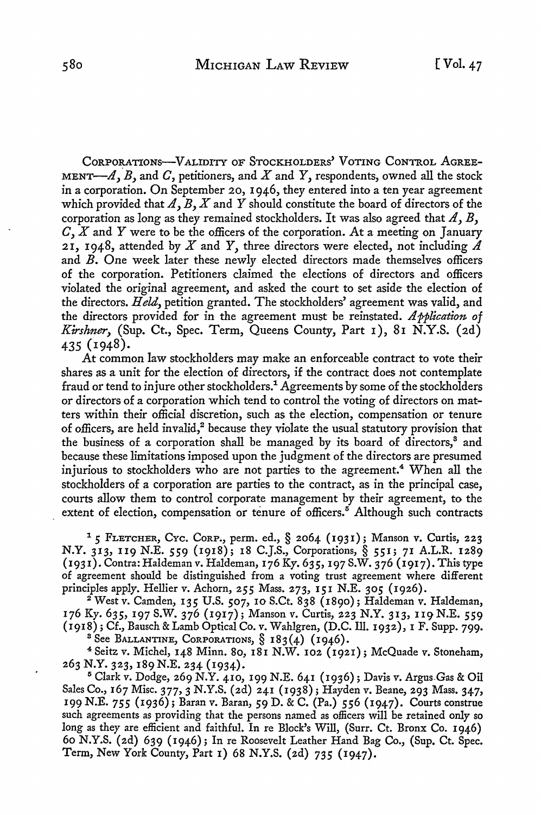CORPORATIONS-VALIDITY OF STOCKHOLDERS' VOTING CONTROL AGREE-MENT- $A$ ,  $B$ , and  $C$ , petitioners, and  $X$  and  $Y$ , respondents, owned all the stock in a corporation. On September 20, I 946, they entered into a ten year agreement which provided that  $A, B, X$  and  $Y$  should constitute the board of directors of the corporation as long as they remained stockholders. It was also agreed that  $A, B$ ,  $C, X$  and Y were to be the officers of the corporation. At a meeting on January 21, 1948, attended by  $X$  and  $Y$ , three directors were elected, not including  $\Lambda$ and B. One week later these newly elected directors made themselves officers of the corporation. Petitioners claimed the elections of directors and officers violated the original agreement, and asked the court to set aside the election of the directors. *Held,* petition granted. The stockholders' agreement was valid, and the directors provided for in the agreement must be reinstated. */lpplication of Kirshner,* (Sup. Ct., Spec. Term, Queens County, Part 1), 81 N.Y.S. (2d) 435 (1948).

At common law stockholders may make an enforceable contract to vote their shares as a unit for the election of directors, if the contract does not contemplate fraud or tend to injure other stockholders.<sup>1</sup> Agreements by some of the stockholders or directors of a corporation which tend to control the voting of directors on matters within their official discretion, such as the election, compensation or tenure of officers, are held invalid,<sup>2</sup> because they violate the usual statutory provision that the business of a corporation shall be managed by its board of directors,<sup>8</sup> and because these limitations imposed upon the judgment of the directors are presumed injurious to stockholders who are not parties to the agreement.<sup>4</sup> When all the stockholders of a corporation are parties to the contract, as in the principal case, courts allow them to control corporate management by their agreement, to the extent of election, compensation or tenure of officers.<sup>6</sup> Although such contracts

<sup>1</sup>*5* FLETCHER, CYc. CoRP., perm. ed.,§ 2064 (1931); Manson v. Curtis, 223 N.Y. 313, 119 N.E. 559 (1918); 18 C.J.S., Corporations,§ 551; 71 A.L.R. 1289 (1931). Contra: Haldeman v. Haldeman, 176 Ky. 635, 197 S.W. 376 (1917). This type of agreement should be distinguished from a voting trust agreement where different principles apply. Hellier v. Achorn, *255* Mass. 273, 151 N.E. 305 (1926).

 $^2$  West v. Camden, 135 U.S. 507, 10 S.Ct. 838 (1890); Haldeman v. Haldeman, 176 Ky. 635, 197 S.W. 376 (1917); Manson *v.* Curtis, 223 N.Y. 313, 119 N.E. 559 (1918); Cf., Bausch & Lamb Optical Co. *v.* Wahlgren, (D.C. Ill. 1932), 1 F. Supp. 799. <sup>3</sup> See Ballantine, Corporations,  $\S$  183(4) (1946).

<sup>4</sup>Seitz v. Michel, 148 Minn. So, 181 N.W. 102 (1921); McQuade v. Stoneham, 263 N.Y. 323, 189N.E. 234 (1934).

<sup>5</sup>Clark v. Dodge, 269 N.Y. 410, 199 N.E. 641 (1936); Davis v. Argus,Gas & Oil Sales Co., 167 Misc. 377, 3 N.Y.S. (2d) 241 (1938); Hayden v. Beane, 293 Mass. 347, 199 N.E. *755* (1936); Baran v. Baran, 59 D. & C. (Pa.) *556* (1947). Courts construe such agreements as providing that the persons named as officers will be retained only so long as they are efficient and faithful. In re Block's Will, (Surr. Ct. Bronx Co. 1946) 60 N.Y.S. (2d) 639 (1946); In re Roosevelt Leather Hand Bag Co., (Sup. Ct. Spec. Term, New York County, Part 1) 68 N.Y.S. (2d) 735 (1947).